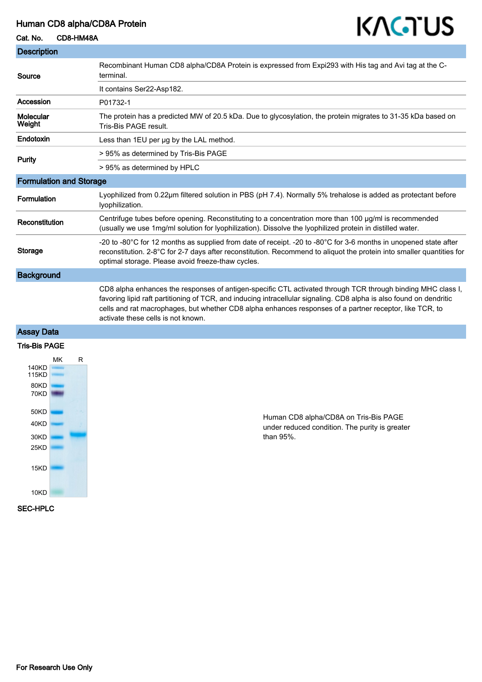# Human CD8 alpha/CD8A Protein

## Cat. No. CD8-HM48A

| <b>Description</b>             |                                                                                                                                                                                                                                                                                                                                                                                     |
|--------------------------------|-------------------------------------------------------------------------------------------------------------------------------------------------------------------------------------------------------------------------------------------------------------------------------------------------------------------------------------------------------------------------------------|
| Source                         | Recombinant Human CD8 alpha/CD8A Protein is expressed from Expi293 with His tag and Avi tag at the C-<br>terminal.                                                                                                                                                                                                                                                                  |
|                                | It contains Ser22-Asp182.                                                                                                                                                                                                                                                                                                                                                           |
| Accession                      | P01732-1                                                                                                                                                                                                                                                                                                                                                                            |
| Molecular<br>Weight            | The protein has a predicted MW of 20.5 kDa. Due to glycosylation, the protein migrates to 31-35 kDa based on<br>Tris-Bis PAGE result.                                                                                                                                                                                                                                               |
| Endotoxin                      | Less than 1EU per ug by the LAL method.                                                                                                                                                                                                                                                                                                                                             |
| Purity                         | > 95% as determined by Tris-Bis PAGE                                                                                                                                                                                                                                                                                                                                                |
|                                | > 95% as determined by HPLC                                                                                                                                                                                                                                                                                                                                                         |
| <b>Formulation and Storage</b> |                                                                                                                                                                                                                                                                                                                                                                                     |
| Formulation                    | Lyophilized from 0.22µm filtered solution in PBS (pH 7.4). Normally 5% trehalose is added as protectant before<br>lyophilization.                                                                                                                                                                                                                                                   |
| Reconstitution                 | Centrifuge tubes before opening. Reconstituting to a concentration more than 100 µg/ml is recommended<br>(usually we use 1mg/ml solution for lyophilization). Dissolve the lyophilized protein in distilled water.                                                                                                                                                                  |
| <b>Storage</b>                 | -20 to -80°C for 12 months as supplied from date of receipt. -20 to -80°C for 3-6 months in unopened state after<br>reconstitution. 2-8°C for 2-7 days after reconstitution. Recommend to aliquot the protein into smaller quantities for<br>optimal storage. Please avoid freeze-thaw cycles.                                                                                      |
| <b>Background</b>              |                                                                                                                                                                                                                                                                                                                                                                                     |
|                                | CD8 alpha enhances the responses of antigen-specific CTL activated through TCR through binding MHC class I,<br>favoring lipid raft partitioning of TCR, and inducing intracellular signaling. CD8 alpha is also found on dendritic<br>cells and rat macrophages, but whether CD8 alpha enhances responses of a partner receptor, like TCR, to<br>activate these cells is not known. |
| <b>Assay Data</b>              |                                                                                                                                                                                                                                                                                                                                                                                     |

#### Tris-Bis PAGE



Human CD8 alpha/CD8A on Tris-Bis PAGE under reduced condition. The purity is greater than 95%.

KAGTUS

## SEC-HPLC